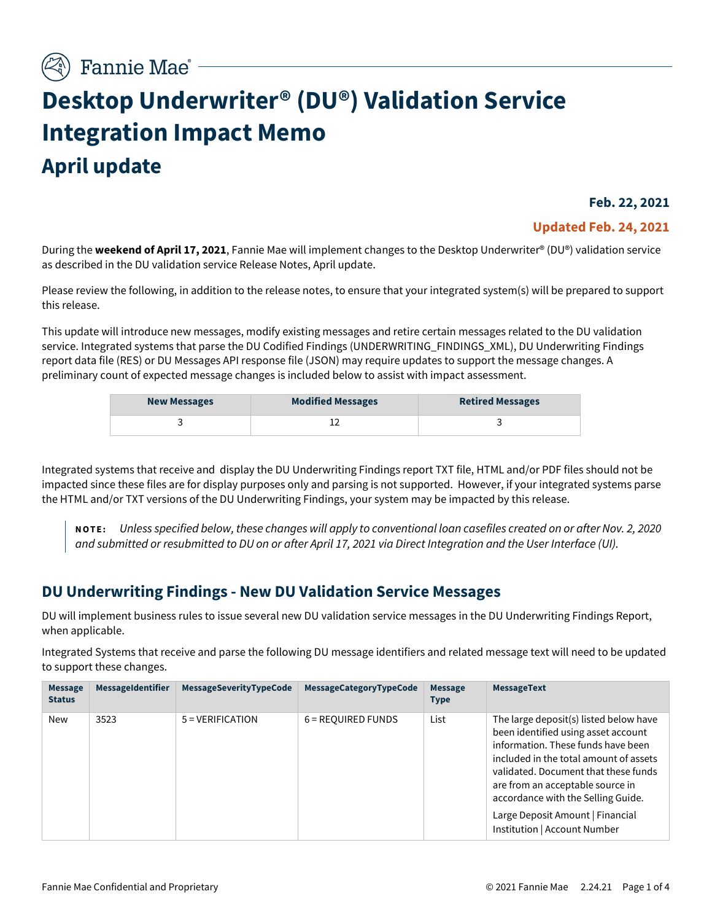# **Desktop Underwriter® (DU®) Validation Service Integration Impact Memo April update**

**Feb. 22, 2021**

#### **Updated Feb. 24, 2021**

During the **weekend of April 17, 2021**, Fannie Mae will implement changes to the Desktop Underwriter® (DU®) validation service as described in the DU validation service Release Notes, April update.

Please review the following, in addition to the release notes, to ensure that your integrated system(s) will be prepared to support this release.

This update will introduce new messages, modify existing messages and retire certain messages related to the DU validation service. Integrated systems that parse the DU Codified Findings (UNDERWRITING\_FINDINGS\_XML), DU Underwriting Findings report data file (RES) or DU Messages API response file (JSON) may require updates to support the message changes. A preliminary count of expected message changes is included below to assist with impact assessment.

| <b>New Messages</b> | <b>Modified Messages</b> | <b>Retired Messages</b> |
|---------------------|--------------------------|-------------------------|
|                     |                          |                         |

Integrated systems that receive and display the DU Underwriting Findings report TXT file, HTML and/or PDF files should not be impacted since these files are for display purposes only and parsing is not supported. However, if your integrated systems parse the HTML and/or TXT versions of the DU Underwriting Findings, your system may be impacted by this release.

**NOTE:** *Unless specified below, these changes will apply to conventional loan casefiles created on or after Nov. 2, 2020 and submitted or resubmitted to DU on or after April 17, 2021 via Direct Integration and the User Interface (UI).*

## **DU Underwriting Findings - New DU Validation Service Messages**

DU will implement business rules to issue several new DU validation service messages in the DU Underwriting Findings Report, when applicable.

Integrated Systems that receive and parse the following DU message identifiers and related message text will need to be updated to support these changes.

| <b>Message</b><br><b>Status</b> | <b>MessageIdentifier</b> | MessageSeverityTypeCode | MessageCategoryTypeCode | <b>Message</b><br><b>Type</b> | <b>MessageText</b>                                                                                                                                                                                                                                                                                                                                  |
|---------------------------------|--------------------------|-------------------------|-------------------------|-------------------------------|-----------------------------------------------------------------------------------------------------------------------------------------------------------------------------------------------------------------------------------------------------------------------------------------------------------------------------------------------------|
| <b>New</b>                      | 3523                     | $5 = VERIFICATION$      | $6 =$ REQUIRED FUNDS    | List                          | The large deposit(s) listed below have<br>been identified using asset account<br>information. These funds have been<br>included in the total amount of assets<br>validated. Document that these funds<br>are from an acceptable source in<br>accordance with the Selling Guide.<br>Large Deposit Amount   Financial<br>Institution   Account Number |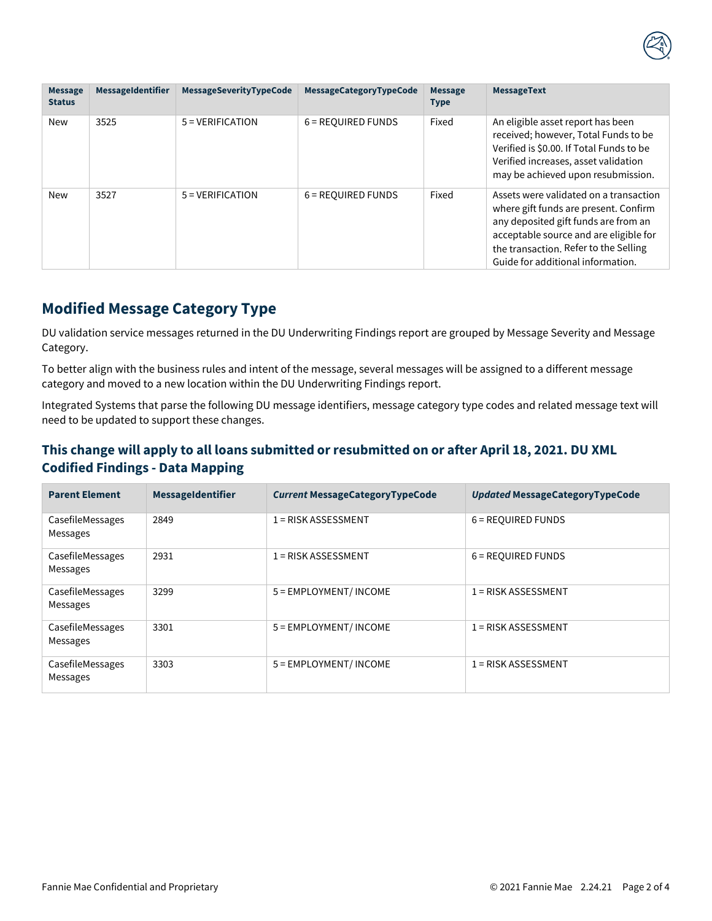

| <b>Message</b><br><b>Status</b> | MessageIdentifier | MessageSeverityTypeCode | MessageCategoryTypeCode | <b>Message</b><br><b>Type</b> | <b>MessageText</b>                                                                                                                                                                                                                              |
|---------------------------------|-------------------|-------------------------|-------------------------|-------------------------------|-------------------------------------------------------------------------------------------------------------------------------------------------------------------------------------------------------------------------------------------------|
| New                             | 3525              | $5 = VERIFICATION$      | 6 = REQUIRED FUNDS      | Fixed                         | An eligible asset report has been<br>received; however, Total Funds to be<br>Verified is \$0.00. If Total Funds to be<br>Verified increases, asset validation<br>may be achieved upon resubmission.                                             |
| <b>New</b>                      | 3527              | $5 = VERIFICATION$      | 6 = REQUIRED FUNDS      | Fixed                         | Assets were validated on a transaction<br>where gift funds are present. Confirm<br>any deposited gift funds are from an<br>acceptable source and are eligible for<br>the transaction. Refer to the Selling<br>Guide for additional information. |

## **Modified Message Category Type**

DU validation service messages returned in the DU Underwriting Findings report are grouped by Message Severity and Message Category.

To better align with the business rules and intent of the message, several messages will be assigned to a different message category and moved to a new location within the DU Underwriting Findings report.

Integrated Systems that parse the following DU message identifiers, message category type codes and related message text will need to be updated to support these changes.

### **This change will apply to all loans submitted or resubmitted on or after April 18, 2021. DU XML Codified Findings - Data Mapping**

| <b>Parent Element</b>        | <b>MessageIdentifier</b> | <b>Current MessageCategoryTypeCode</b> | Updated MessageCategoryTypeCode |
|------------------------------|--------------------------|----------------------------------------|---------------------------------|
| CasefileMessages<br>Messages | 2849                     | $1 = RISK ASSESSMENT$                  | 6 = REQUIRED FUNDS              |
| CasefileMessages<br>Messages | 2931                     | $1 = RISK ASSESSMENT$                  | 6 = REQUIRED FUNDS              |
| CasefileMessages<br>Messages | 3299                     | 5 = EMPLOYMENT/ INCOME                 | $1 = RISK ASSESSMENT$           |
| CasefileMessages<br>Messages | 3301                     | 5 = EMPLOYMENT/ INCOME                 | $1 = RISK ASSESSMENT$           |
| CasefileMessages<br>Messages | 3303                     | 5 = EMPLOYMENT/ INCOME                 | $1 =$ RISK ASSESSMENT           |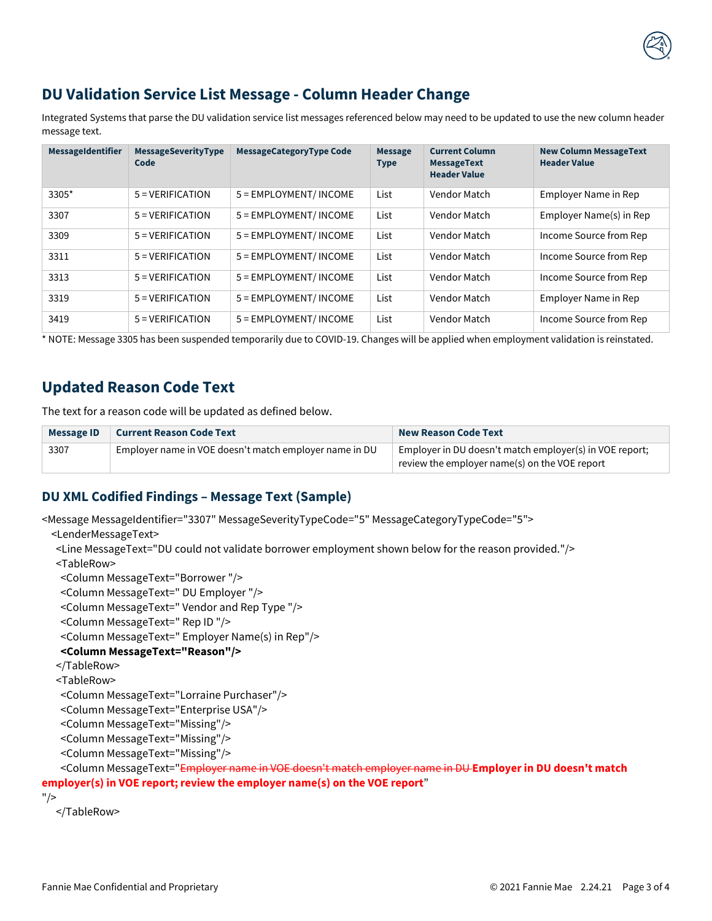

Integrated Systems that parse the DU validation service list messages referenced below may need to be updated to use the new column header message text.

| MessageIdentifier | <b>MessageSeverityType</b><br>Code | <b>MessageCategoryType Code</b> | <b>Message</b><br><b>Type</b> | <b>Current Column</b><br><b>MessageText</b><br><b>Header Value</b> | <b>New Column MessageText</b><br><b>Header Value</b> |
|-------------------|------------------------------------|---------------------------------|-------------------------------|--------------------------------------------------------------------|------------------------------------------------------|
| 3305*             | $5 = VERIFICATION$                 | 5 = EMPLOYMENT/ INCOME          | List                          | Vendor Match                                                       | Employer Name in Rep                                 |
| 3307              | $5 = VERIFICATION$                 | 5 = EMPLOYMENT/ INCOME          | List                          | Vendor Match                                                       | Employer Name(s) in Rep                              |
| 3309              | $5 = VERIFICATION$                 | 5 = EMPLOYMENT/ INCOME          | List                          | Vendor Match                                                       | Income Source from Rep                               |
| 3311              | $5 = VERIFICATION$                 | 5 = EMPLOYMENT/ INCOME          | List                          | Vendor Match                                                       | Income Source from Rep                               |
| 3313              | $5 = VERIFICATION$                 | 5 = EMPLOYMENT/ INCOME          | List                          | Vendor Match                                                       | Income Source from Rep                               |
| 3319              | $5 = VERIFICATION$                 | 5 = EMPLOYMENT/ INCOME          | List                          | Vendor Match                                                       | Employer Name in Rep                                 |
| 3419              | $5 = VERIFICATION$                 | 5 = EMPLOYMENT/ INCOME          | List                          | Vendor Match                                                       | Income Source from Rep                               |

\* NOTE: Message 3305 has been suspended temporarily due to COVID-19. Changes will be applied when employment validation is reinstated.

## **Updated Reason Code Text**

The text for a reason code will be updated as defined below.

| Message ID | <b>Current Reason Code Text</b>                        | <b>New Reason Code Text</b>                                                                              |  |
|------------|--------------------------------------------------------|----------------------------------------------------------------------------------------------------------|--|
| 3307       | Employer name in VOE doesn't match employer name in DU | Employer in DU doesn't match employer(s) in VOE report;<br>review the employer name(s) on the VOE report |  |

#### **DU XML Codified Findings – Message Text (Sample)**

<Message MessageIdentifier="3307" MessageSeverityTypeCode="5" MessageCategoryTypeCode="5">

<LenderMessageText>

<Line MessageText="DU could not validate borrower employment shown below for the reason provided."/>

<TableRow>

<Column MessageText="Borrower "/>

<Column MessageText=" DU Employer "/>

<Column MessageText=" Vendor and Rep Type "/>

<Column MessageText=" Rep ID "/>

<Column MessageText=" Employer Name(s) in Rep"/>

#### **<Column MessageText="Reason"/>**

</TableRow>

<TableRow>

<Column MessageText="Lorraine Purchaser"/>

<Column MessageText="Enterprise USA"/>

<Column MessageText="Missing"/>

<Column MessageText="Missing"/>

<Column MessageText="Missing"/>

#### <Column MessageText="Employer name in VOE doesn't match employer name in DU **Employer in DU doesn't match employer(s) in VOE report; review the employer name(s) on the VOE report**"

"/>

</TableRow>